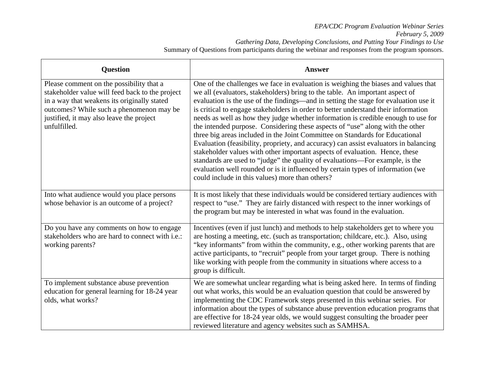## *EPA/CDC Program Evaluation Webinar Series February 5, 2009 Gathering Data, Developing Conclusions, and Putting Your Findings to Use*  Summary of Questions from participants during the webinar and responses from the program sponsors.

| <b>Question</b>                                                                                                                                                                                                                                    | <b>Answer</b>                                                                                                                                                                                                                                                                                                                                                                                                                                                                                                                                                                                                                                                                                                                                                                                                                                                                                                                                                                                       |
|----------------------------------------------------------------------------------------------------------------------------------------------------------------------------------------------------------------------------------------------------|-----------------------------------------------------------------------------------------------------------------------------------------------------------------------------------------------------------------------------------------------------------------------------------------------------------------------------------------------------------------------------------------------------------------------------------------------------------------------------------------------------------------------------------------------------------------------------------------------------------------------------------------------------------------------------------------------------------------------------------------------------------------------------------------------------------------------------------------------------------------------------------------------------------------------------------------------------------------------------------------------------|
| Please comment on the possibility that a<br>stakeholder value will feed back to the project<br>in a way that weakens its originally stated<br>outcomes? While such a phenomenon may be<br>justified, it may also leave the project<br>unfulfilled. | One of the challenges we face in evaluation is weighing the biases and values that<br>we all (evaluators, stakeholders) bring to the table. An important aspect of<br>evaluation is the use of the findings-and in setting the stage for evaluation use it<br>is critical to engage stakeholders in order to better understand their information<br>needs as well as how they judge whether information is credible enough to use for<br>the intended purpose. Considering these aspects of "use" along with the other<br>three big areas included in the Joint Committee on Standards for Educational<br>Evaluation (feasibility, propriety, and accuracy) can assist evaluators in balancing<br>stakeholder values with other important aspects of evaluation. Hence, these<br>standards are used to "judge" the quality of evaluations-For example, is the<br>evaluation well rounded or is it influenced by certain types of information (we<br>could include in this values) more than others? |
| Into what audience would you place persons<br>whose behavior is an outcome of a project?                                                                                                                                                           | It is most likely that these individuals would be considered tertiary audiences with<br>respect to "use." They are fairly distanced with respect to the inner workings of<br>the program but may be interested in what was found in the evaluation.                                                                                                                                                                                                                                                                                                                                                                                                                                                                                                                                                                                                                                                                                                                                                 |
| Do you have any comments on how to engage<br>stakeholders who are hard to connect with i.e.:<br>working parents?                                                                                                                                   | Incentives (even if just lunch) and methods to help stakeholders get to where you<br>are hosting a meeting, etc. (such as transportation; childcare, etc.). Also, using<br>"key informants" from within the community, e.g., other working parents that are<br>active participants, to "recruit" people from your target group. There is nothing<br>like working with people from the community in situations where access to a<br>group is difficult.                                                                                                                                                                                                                                                                                                                                                                                                                                                                                                                                              |
| To implement substance abuse prevention<br>education for general learning for 18-24 year<br>olds, what works?                                                                                                                                      | We are somewhat unclear regarding what is being asked here. In terms of finding<br>out what works, this would be an evaluation question that could be answered by<br>implementing the CDC Framework steps presented in this webinar series. For<br>information about the types of substance abuse prevention education programs that<br>are effective for 18-24 year olds, we would suggest consulting the broader peer<br>reviewed literature and agency websites such as SAMHSA.                                                                                                                                                                                                                                                                                                                                                                                                                                                                                                                  |